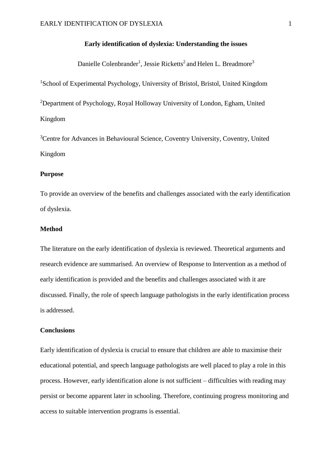# **Early identification of dyslexia: Understanding the issues**

Danielle Colenbrander<sup>1</sup>, Jessie Ricketts<sup>2</sup> and Helen L. Breadmore<sup>3</sup>

<sup>1</sup>School of Experimental Psychology, University of Bristol, Bristol, United Kingdom

<sup>2</sup>Department of Psychology, Royal Holloway University of London, Egham, United Kingdom

<sup>3</sup>Centre for Advances in Behavioural Science, Coventry University, Coventry, United Kingdom

# **Purpose**

To provide an overview of the benefits and challenges associated with the early identification of dyslexia.

# **Method**

The literature on the early identification of dyslexia is reviewed. Theoretical arguments and research evidence are summarised. An overview of Response to Intervention as a method of early identification is provided and the benefits and challenges associated with it are discussed. Finally, the role of speech language pathologists in the early identification process is addressed.

#### **Conclusions**

Early identification of dyslexia is crucial to ensure that children are able to maximise their educational potential, and speech language pathologists are well placed to play a role in this process. However, early identification alone is not sufficient – difficulties with reading may persist or become apparent later in schooling. Therefore, continuing progress monitoring and access to suitable intervention programs is essential.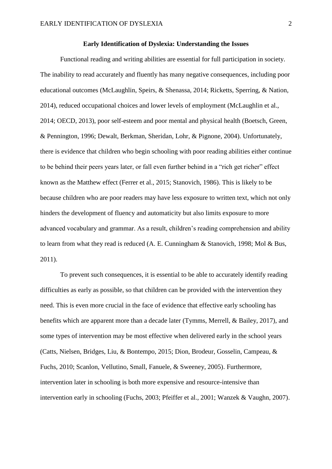## **Early Identification of Dyslexia: Understanding the Issues**

Functional reading and writing abilities are essential for full participation in society. The inability to read accurately and fluently has many negative consequences, including poor educational outcomes (McLaughlin, Speirs, & Shenassa, 2014; Ricketts, Sperring, & Nation, 2014), reduced occupational choices and lower levels of employment (McLaughlin et al., 2014; OECD, 2013), poor self-esteem and poor mental and physical health (Boetsch, Green, & Pennington, 1996; Dewalt, Berkman, Sheridan, Lohr, & Pignone, 2004). Unfortunately, there is evidence that children who begin schooling with poor reading abilities either continue to be behind their peers years later, or fall even further behind in a "rich get richer" effect known as the Matthew effect (Ferrer et al., 2015; Stanovich, 1986). This is likely to be because children who are poor readers may have less exposure to written text, which not only hinders the development of fluency and automaticity but also limits exposure to more advanced vocabulary and grammar. As a result, children's reading comprehension and ability to learn from what they read is reduced (A. E. Cunningham & Stanovich, 1998; Mol & Bus, 2011).

To prevent such consequences, it is essential to be able to accurately identify reading difficulties as early as possible, so that children can be provided with the intervention they need. This is even more crucial in the face of evidence that effective early schooling has benefits which are apparent more than a decade later (Tymms, Merrell, & Bailey, 2017), and some types of intervention may be most effective when delivered early in the school years (Catts, Nielsen, Bridges, Liu, & Bontempo, 2015; Dion, Brodeur, Gosselin, Campeau, & Fuchs, 2010; Scanlon, Vellutino, Small, Fanuele, & Sweeney, 2005). Furthermore, intervention later in schooling is both more expensive and resource-intensive than intervention early in schooling (Fuchs, 2003; Pfeiffer et al., 2001; Wanzek & Vaughn, 2007).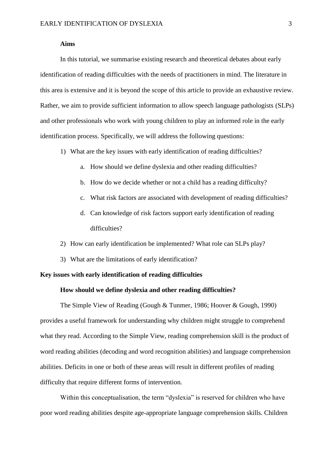## **Aims**

In this tutorial, we summarise existing research and theoretical debates about early identification of reading difficulties with the needs of practitioners in mind. The literature in this area is extensive and it is beyond the scope of this article to provide an exhaustive review. Rather, we aim to provide sufficient information to allow speech language pathologists (SLPs) and other professionals who work with young children to play an informed role in the early identification process. Specifically, we will address the following questions:

- 1) What are the key issues with early identification of reading difficulties?
	- a. How should we define dyslexia and other reading difficulties?
	- b. How do we decide whether or not a child has a reading difficulty?
	- c. What risk factors are associated with development of reading difficulties?
	- d. Can knowledge of risk factors support early identification of reading difficulties?
- 2) How can early identification be implemented? What role can SLPs play?
- 3) What are the limitations of early identification?

# **Key issues with early identification of reading difficulties**

# **How should we define dyslexia and other reading difficulties?**

The Simple View of Reading (Gough & Tunmer, 1986; Hoover & Gough, 1990) provides a useful framework for understanding why children might struggle to comprehend what they read. According to the Simple View, reading comprehension skill is the product of word reading abilities (decoding and word recognition abilities) and language comprehension abilities. Deficits in one or both of these areas will result in different profiles of reading difficulty that require different forms of intervention.

Within this conceptualisation, the term "dyslexia" is reserved for children who have poor word reading abilities despite age-appropriate language comprehension skills. Children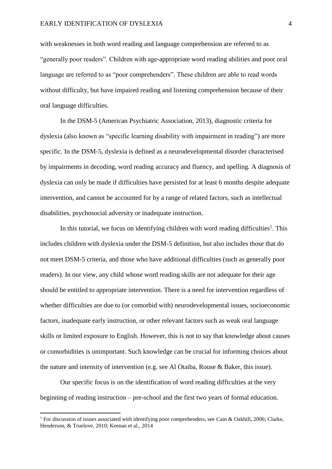with weaknesses in both word reading and language comprehension are referred to as "generally poor readers". Children with age-appropriate word reading abilities and poor oral language are referred to as "poor comprehenders". These children are able to read words without difficulty, but have impaired reading and listening comprehension because of their oral language difficulties.

In the DSM-5 (American Psychiatric Association, 2013), diagnostic criteria for dyslexia (also known as "specific learning disability with impairment in reading") are more specific. In the DSM-5, dyslexia is defined as a neurodevelopmental disorder characterised by impairments in decoding, word reading accuracy and fluency, and spelling. A diagnosis of dyslexia can only be made if difficulties have persisted for at least 6 months despite adequate intervention, and cannot be accounted for by a range of related factors, such as intellectual disabilities, psychosocial adversity or inadequate instruction.

In this tutorial, we focus on identifying children with word reading difficulties<sup>1</sup>. This includes children with dyslexia under the DSM-5 definition, but also includes those that do not meet DSM-5 criteria, and those who have additional difficulties (such as generally poor readers). In our view, any child whose word reading skills are not adequate for their age should be entitled to appropriate intervention. There is a need for intervention regardless of whether difficulties are due to (or comorbid with) neurodevelopmental issues, socioeconomic factors, inadequate early instruction, or other relevant factors such as weak oral language skills or limited exposure to English. However, this is not to say that knowledge about causes or comorbidities is unimportant. Such knowledge can be crucial for informing choices about the nature and intensity of intervention (e.g. see Al Otaiba, Rouse & Baker, this issue).

Our specific focus is on the identification of word reading difficulties at the very beginning of reading instruction – pre-school and the first two years of formal education.

**.** 

<sup>&</sup>lt;sup>1</sup> For discussion of issues associated with identifying poor comprehenders, see Cain & Oakhill, 2006; Clarke, Henderson, & Truelove, 2010; Keenan et al., 2014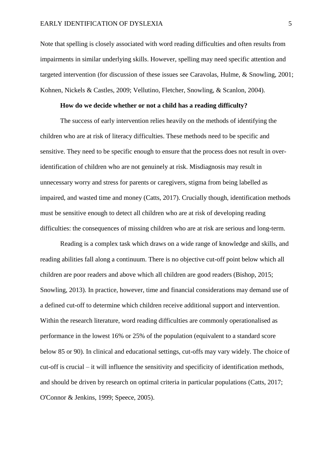Note that spelling is closely associated with word reading difficulties and often results from impairments in similar underlying skills. However, spelling may need specific attention and targeted intervention (for discussion of these issues see Caravolas, Hulme, & Snowling, 2001; Kohnen, Nickels & Castles, 2009; Vellutino, Fletcher, Snowling, & Scanlon, 2004).

## **How do we decide whether or not a child has a reading difficulty?**

The success of early intervention relies heavily on the methods of identifying the children who are at risk of literacy difficulties. These methods need to be specific and sensitive. They need to be specific enough to ensure that the process does not result in overidentification of children who are not genuinely at risk. Misdiagnosis may result in unnecessary worry and stress for parents or caregivers, stigma from being labelled as impaired, and wasted time and money (Catts, 2017). Crucially though, identification methods must be sensitive enough to detect all children who are at risk of developing reading difficulties: the consequences of missing children who are at risk are serious and long-term.

Reading is a complex task which draws on a wide range of knowledge and skills, and reading abilities fall along a continuum. There is no objective cut-off point below which all children are poor readers and above which all children are good readers (Bishop, 2015; Snowling, 2013). In practice, however, time and financial considerations may demand use of a defined cut-off to determine which children receive additional support and intervention. Within the research literature, word reading difficulties are commonly operationalised as performance in the lowest 16% or 25% of the population (equivalent to a standard score below 85 or 90). In clinical and educational settings, cut-offs may vary widely. The choice of cut-off is crucial – it will influence the sensitivity and specificity of identification methods, and should be driven by research on optimal criteria in particular populations (Catts, 2017; O'Connor & Jenkins, 1999; Speece, 2005).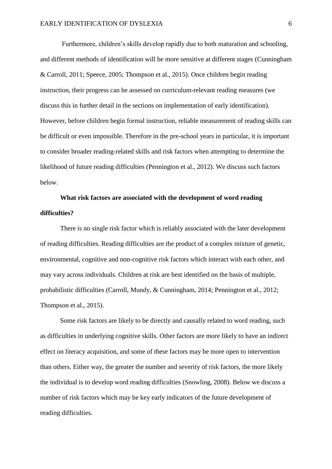Furthermore, children's skills develop rapidly due to both maturation and schooling, and different methods of identification will be more sensitive at different stages (Cunningham & Carroll, 2011; Speece, 2005; Thompson et al., 2015). Once children begin reading instruction, their progress can be assessed on curriculum-relevant reading measures (we discuss this in further detail in the sections on implementation of early identification). However, before children begin formal instruction, reliable measurement of reading skills can be difficult or even impossible. Therefore in the pre-school years in particular, it is important to consider broader reading-related skills and risk factors when attempting to determine the likelihood of future reading difficulties (Pennington et al., 2012). We discuss such factors below.

# **What risk factors are associated with the development of word reading difficulties?**

There is no single risk factor which is reliably associated with the later development of reading difficulties. Reading difficulties are the product of a complex mixture of genetic, environmental, cognitive and non-cognitive risk factors which interact with each other, and may vary across individuals. Children at risk are best identified on the basis of multiple, probabilistic difficulties (Carroll, Mundy, & Cunningham, 2014; Pennington et al., 2012; Thompson et al., 2015).

Some risk factors are likely to be directly and causally related to word reading, such as difficulties in underlying cognitive skills. Other factors are more likely to have an indirect effect on literacy acquisition, and some of these factors may be more open to intervention than others. Either way, the greater the number and severity of risk factors, the more likely the individual is to develop word reading difficulties (Snowling, 2008). Below we discuss a number of risk factors which may be key early indicators of the future development of reading difficulties.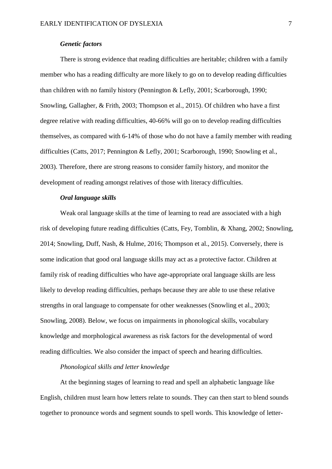# *Genetic factors*

There is strong evidence that reading difficulties are heritable; children with a family member who has a reading difficulty are more likely to go on to develop reading difficulties than children with no family history (Pennington & Lefly, 2001; Scarborough, 1990; Snowling, Gallagher, & Frith, 2003; Thompson et al., 2015). Of children who have a first degree relative with reading difficulties, 40-66% will go on to develop reading difficulties themselves, as compared with 6-14% of those who do not have a family member with reading difficulties (Catts, 2017; Pennington & Lefly, 2001; Scarborough, 1990; Snowling et al., 2003). Therefore, there are strong reasons to consider family history, and monitor the development of reading amongst relatives of those with literacy difficulties.

## *Oral language skills*

Weak oral language skills at the time of learning to read are associated with a high risk of developing future reading difficulties (Catts, Fey, Tomblin, & Xhang, 2002; Snowling, 2014; Snowling, Duff, Nash, & Hulme, 2016; Thompson et al., 2015). Conversely, there is some indication that good oral language skills may act as a protective factor. Children at family risk of reading difficulties who have age-appropriate oral language skills are less likely to develop reading difficulties, perhaps because they are able to use these relative strengths in oral language to compensate for other weaknesses (Snowling et al., 2003; Snowling, 2008). Below, we focus on impairments in phonological skills, vocabulary knowledge and morphological awareness as risk factors for the developmental of word reading difficulties. We also consider the impact of speech and hearing difficulties.

# *Phonological skills and letter knowledge*

At the beginning stages of learning to read and spell an alphabetic language like English, children must learn how letters relate to sounds. They can then start to blend sounds together to pronounce words and segment sounds to spell words. This knowledge of letter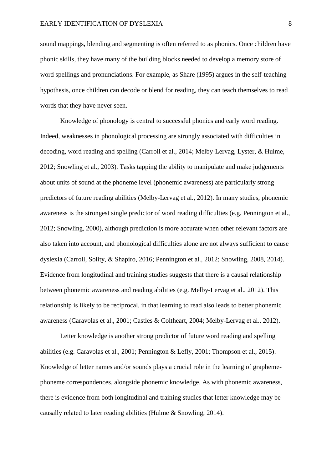sound mappings, blending and segmenting is often referred to as phonics. Once children have phonic skills, they have many of the building blocks needed to develop a memory store of word spellings and pronunciations. For example, as Share (1995) argues in the self-teaching hypothesis, once children can decode or blend for reading, they can teach themselves to read words that they have never seen.

Knowledge of phonology is central to successful phonics and early word reading. Indeed, weaknesses in phonological processing are strongly associated with difficulties in decoding, word reading and spelling (Carroll et al., 2014; Melby-Lervag, Lyster, & Hulme, 2012; Snowling et al., 2003). Tasks tapping the ability to manipulate and make judgements about units of sound at the phoneme level (phonemic awareness) are particularly strong predictors of future reading abilities (Melby-Lervag et al., 2012). In many studies, phonemic awareness is the strongest single predictor of word reading difficulties (e.g. Pennington et al., 2012; Snowling, 2000), although prediction is more accurate when other relevant factors are also taken into account, and phonological difficulties alone are not always sufficient to cause dyslexia (Carroll, Solity, & Shapiro, 2016; Pennington et al., 2012; Snowling, 2008, 2014). Evidence from longitudinal and training studies suggests that there is a causal relationship between phonemic awareness and reading abilities (e.g. Melby-Lervag et al., 2012). This relationship is likely to be reciprocal, in that learning to read also leads to better phonemic awareness (Caravolas et al., 2001; Castles & Coltheart, 2004; Melby-Lervag et al., 2012).

Letter knowledge is another strong predictor of future word reading and spelling abilities (e.g. Caravolas et al., 2001; Pennington & Lefly, 2001; Thompson et al., 2015). Knowledge of letter names and/or sounds plays a crucial role in the learning of graphemephoneme correspondences, alongside phonemic knowledge. As with phonemic awareness, there is evidence from both longitudinal and training studies that letter knowledge may be causally related to later reading abilities (Hulme & Snowling, 2014).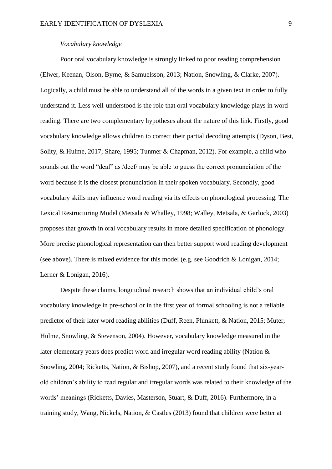#### *Vocabulary knowledge*

Poor oral vocabulary knowledge is strongly linked to poor reading comprehension (Elwer, Keenan, Olson, Byrne, & Samuelsson, 2013; Nation, Snowling, & Clarke, 2007). Logically, a child must be able to understand all of the words in a given text in order to fully understand it. Less well-understood is the role that oral vocabulary knowledge plays in word reading. There are two complementary hypotheses about the nature of this link. Firstly, good vocabulary knowledge allows children to correct their partial decoding attempts (Dyson, Best, Solity, & Hulme, 2017; Share, 1995; Tunmer & Chapman, 2012). For example, a child who sounds out the word "deaf" as /deef/ may be able to guess the correct pronunciation of the word because it is the closest pronunciation in their spoken vocabulary. Secondly, good vocabulary skills may influence word reading via its effects on phonological processing. The Lexical Restructuring Model (Metsala & Whalley, 1998; Walley, Metsala, & Garlock, 2003) proposes that growth in oral vocabulary results in more detailed specification of phonology. More precise phonological representation can then better support word reading development (see above). There is mixed evidence for this model (e.g. see Goodrich & Lonigan, 2014; Lerner & Lonigan, 2016).

Despite these claims, longitudinal research shows that an individual child's oral vocabulary knowledge in pre-school or in the first year of formal schooling is not a reliable predictor of their later word reading abilities (Duff, Reen, Plunkett, & Nation, 2015; Muter, Hulme, Snowling, & Stevenson, 2004). However, vocabulary knowledge measured in the later elementary years does predict word and irregular word reading ability (Nation & Snowling, 2004; Ricketts, Nation, & Bishop, 2007), and a recent study found that six-yearold children's ability to read regular and irregular words was related to their knowledge of the words' meanings (Ricketts, Davies, Masterson, Stuart, & Duff, 2016). Furthermore, in a training study, Wang, Nickels, Nation, & Castles (2013) found that children were better at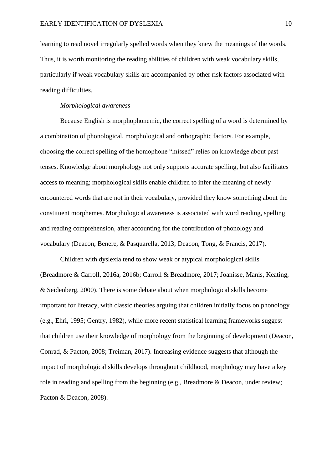learning to read novel irregularly spelled words when they knew the meanings of the words. Thus, it is worth monitoring the reading abilities of children with weak vocabulary skills, particularly if weak vocabulary skills are accompanied by other risk factors associated with reading difficulties.

## *Morphological awareness*

Because English is morphophonemic, the correct spelling of a word is determined by a combination of phonological, morphological and orthographic factors. For example, choosing the correct spelling of the homophone "missed" relies on knowledge about past tenses. Knowledge about morphology not only supports accurate spelling, but also facilitates access to meaning; morphological skills enable children to infer the meaning of newly encountered words that are not in their vocabulary, provided they know something about the constituent morphemes. Morphological awareness is associated with word reading, spelling and reading comprehension, after accounting for the contribution of phonology and vocabulary (Deacon, Benere, & Pasquarella, 2013; Deacon, Tong, & Francis, 2017).

Children with dyslexia tend to show weak or atypical morphological skills (Breadmore & Carroll, 2016a, 2016b; Carroll & Breadmore, 2017; Joanisse, Manis, Keating, & Seidenberg, 2000). There is some debate about when morphological skills become important for literacy, with classic theories arguing that children initially focus on phonology (e.g., Ehri, 1995; Gentry, 1982), while more recent statistical learning frameworks suggest that children use their knowledge of morphology from the beginning of development (Deacon, Conrad, & Pacton, 2008; Treiman, 2017). Increasing evidence suggests that although the impact of morphological skills develops throughout childhood, morphology may have a key role in reading and spelling from the beginning (e.g., Breadmore & Deacon, under review; Pacton & Deacon, 2008).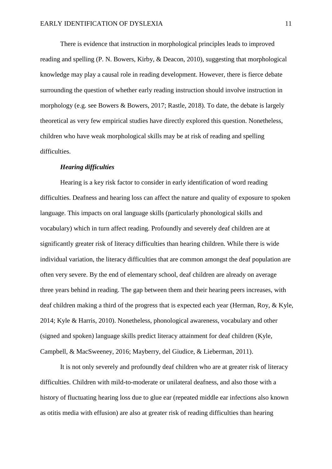There is evidence that instruction in morphological principles leads to improved reading and spelling (P. N. Bowers, Kirby, & Deacon, 2010), suggesting that morphological knowledge may play a causal role in reading development. However, there is fierce debate surrounding the question of whether early reading instruction should involve instruction in morphology (e.g. see Bowers & Bowers, 2017; Rastle, 2018). To date, the debate is largely theoretical as very few empirical studies have directly explored this question. Nonetheless, children who have weak morphological skills may be at risk of reading and spelling difficulties.

### *Hearing difficulties*

Hearing is a key risk factor to consider in early identification of word reading difficulties. Deafness and hearing loss can affect the nature and quality of exposure to spoken language. This impacts on oral language skills (particularly phonological skills and vocabulary) which in turn affect reading. Profoundly and severely deaf children are at significantly greater risk of literacy difficulties than hearing children. While there is wide individual variation, the literacy difficulties that are common amongst the deaf population are often very severe. By the end of elementary school, deaf children are already on average three years behind in reading. The gap between them and their hearing peers increases, with deaf children making a third of the progress that is expected each year (Herman, Roy, & Kyle, 2014; Kyle & Harris, 2010). Nonetheless, phonological awareness, vocabulary and other (signed and spoken) language skills predict literacy attainment for deaf children (Kyle, Campbell, & MacSweeney, 2016; Mayberry, del Giudice, & Lieberman, 2011).

It is not only severely and profoundly deaf children who are at greater risk of literacy difficulties. Children with mild-to-moderate or unilateral deafness, and also those with a history of fluctuating hearing loss due to glue ear (repeated middle ear infections also known as otitis media with effusion) are also at greater risk of reading difficulties than hearing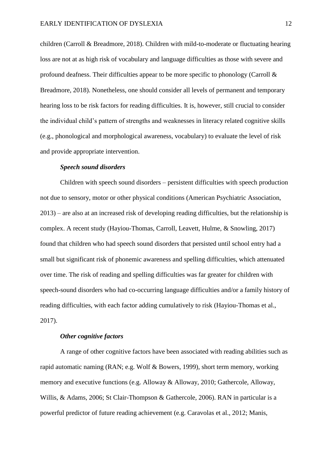children (Carroll & Breadmore, 2018). Children with mild-to-moderate or fluctuating hearing loss are not at as high risk of vocabulary and language difficulties as those with severe and profound deafness. Their difficulties appear to be more specific to phonology (Carroll  $\&$ Breadmore, 2018). Nonetheless, one should consider all levels of permanent and temporary hearing loss to be risk factors for reading difficulties. It is, however, still crucial to consider the individual child's pattern of strengths and weaknesses in literacy related cognitive skills (e.g., phonological and morphological awareness, vocabulary) to evaluate the level of risk and provide appropriate intervention.

### *Speech sound disorders*

Children with speech sound disorders – persistent difficulties with speech production not due to sensory, motor or other physical conditions (American Psychiatric Association, 2013) – are also at an increased risk of developing reading difficulties, but the relationship is complex. A recent study (Hayiou-Thomas, Carroll, Leavett, Hulme, & Snowling, 2017) found that children who had speech sound disorders that persisted until school entry had a small but significant risk of phonemic awareness and spelling difficulties, which attenuated over time. The risk of reading and spelling difficulties was far greater for children with speech-sound disorders who had co-occurring language difficulties and/or a family history of reading difficulties, with each factor adding cumulatively to risk (Hayiou-Thomas et al., 2017).

#### *Other cognitive factors*

A range of other cognitive factors have been associated with reading abilities such as rapid automatic naming (RAN; e.g. Wolf & Bowers, 1999), short term memory, working memory and executive functions (e.g. Alloway & Alloway, 2010; Gathercole, Alloway, Willis, & Adams, 2006; St Clair-Thompson & Gathercole, 2006). RAN in particular is a powerful predictor of future reading achievement (e.g. Caravolas et al., 2012; Manis,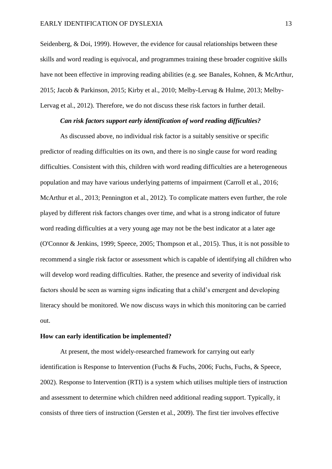Seidenberg, & Doi, 1999). However, the evidence for causal relationships between these skills and word reading is equivocal, and programmes training these broader cognitive skills have not been effective in improving reading abilities (e.g. see Banales, Kohnen, & McArthur, 2015; Jacob & Parkinson, 2015; Kirby et al., 2010; Melby-Lervag & Hulme, 2013; Melby-Lervag et al., 2012). Therefore, we do not discuss these risk factors in further detail.

# *Can risk factors support early identification of word reading difficulties?*

As discussed above, no individual risk factor is a suitably sensitive or specific predictor of reading difficulties on its own, and there is no single cause for word reading difficulties. Consistent with this, children with word reading difficulties are a heterogeneous population and may have various underlying patterns of impairment (Carroll et al., 2016; McArthur et al., 2013; Pennington et al., 2012). To complicate matters even further, the role played by different risk factors changes over time, and what is a strong indicator of future word reading difficulties at a very young age may not be the best indicator at a later age (O'Connor & Jenkins, 1999; Speece, 2005; Thompson et al., 2015). Thus, it is not possible to recommend a single risk factor or assessment which is capable of identifying all children who will develop word reading difficulties. Rather, the presence and severity of individual risk factors should be seen as warning signs indicating that a child's emergent and developing literacy should be monitored. We now discuss ways in which this monitoring can be carried out.

#### **How can early identification be implemented?**

At present, the most widely-researched framework for carrying out early identification is Response to Intervention (Fuchs & Fuchs, 2006; Fuchs, Fuchs, & Speece, 2002). Response to Intervention (RTI) is a system which utilises multiple tiers of instruction and assessment to determine which children need additional reading support. Typically, it consists of three tiers of instruction (Gersten et al., 2009). The first tier involves effective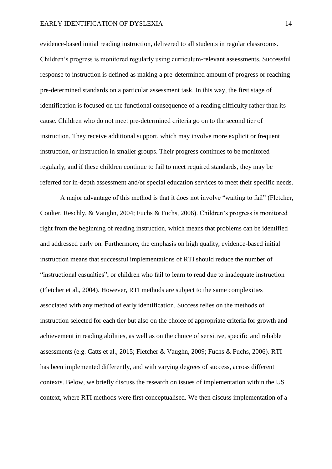evidence-based initial reading instruction, delivered to all students in regular classrooms. Children's progress is monitored regularly using curriculum-relevant assessments. Successful response to instruction is defined as making a pre-determined amount of progress or reaching pre-determined standards on a particular assessment task. In this way, the first stage of identification is focused on the functional consequence of a reading difficulty rather than its cause. Children who do not meet pre-determined criteria go on to the second tier of instruction. They receive additional support, which may involve more explicit or frequent instruction, or instruction in smaller groups. Their progress continues to be monitored regularly, and if these children continue to fail to meet required standards, they may be referred for in-depth assessment and/or special education services to meet their specific needs.

A major advantage of this method is that it does not involve "waiting to fail" (Fletcher, Coulter, Reschly, & Vaughn, 2004; Fuchs & Fuchs, 2006). Children's progress is monitored right from the beginning of reading instruction, which means that problems can be identified and addressed early on. Furthermore, the emphasis on high quality, evidence-based initial instruction means that successful implementations of RTI should reduce the number of "instructional casualties", or children who fail to learn to read due to inadequate instruction (Fletcher et al., 2004). However, RTI methods are subject to the same complexities associated with any method of early identification. Success relies on the methods of instruction selected for each tier but also on the choice of appropriate criteria for growth and achievement in reading abilities, as well as on the choice of sensitive, specific and reliable assessments (e.g. Catts et al., 2015; Fletcher & Vaughn, 2009; Fuchs & Fuchs, 2006). RTI has been implemented differently, and with varying degrees of success, across different contexts. Below, we briefly discuss the research on issues of implementation within the US context, where RTI methods were first conceptualised. We then discuss implementation of a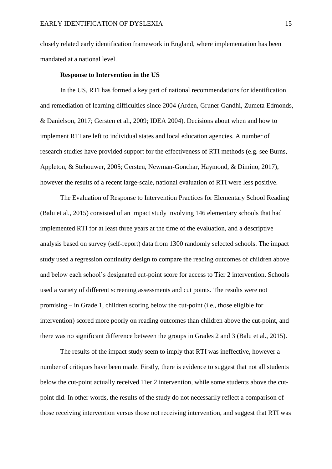closely related early identification framework in England, where implementation has been mandated at a national level.

## **Response to Intervention in the US**

In the US, RTI has formed a key part of national recommendations for identification and remediation of learning difficulties since 2004 (Arden, Gruner Gandhi, Zumeta Edmonds, & Danielson, 2017; Gersten et al., 2009; IDEA 2004). Decisions about when and how to implement RTI are left to individual states and local education agencies. A number of research studies have provided support for the effectiveness of RTI methods (e.g. see Burns, Appleton, & Stehouwer, 2005; Gersten, Newman-Gonchar, Haymond, & Dimino, 2017), however the results of a recent large-scale, national evaluation of RTI were less positive.

The Evaluation of Response to Intervention Practices for Elementary School Reading (Balu et al., 2015) consisted of an impact study involving 146 elementary schools that had implemented RTI for at least three years at the time of the evaluation, and a descriptive analysis based on survey (self-report) data from 1300 randomly selected schools. The impact study used a regression continuity design to compare the reading outcomes of children above and below each school's designated cut-point score for access to Tier 2 intervention. Schools used a variety of different screening assessments and cut points. The results were not promising – in Grade 1, children scoring below the cut-point (i.e., those eligible for intervention) scored more poorly on reading outcomes than children above the cut-point, and there was no significant difference between the groups in Grades 2 and 3 (Balu et al., 2015).

The results of the impact study seem to imply that RTI was ineffective, however a number of critiques have been made. Firstly, there is evidence to suggest that not all students below the cut-point actually received Tier 2 intervention, while some students above the cutpoint did. In other words, the results of the study do not necessarily reflect a comparison of those receiving intervention versus those not receiving intervention, and suggest that RTI was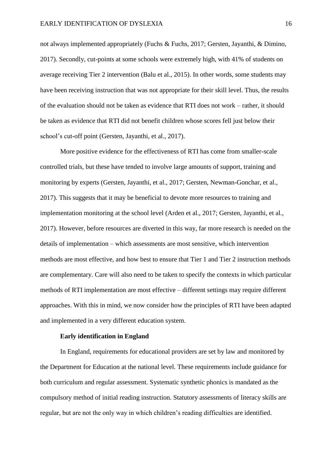not always implemented appropriately (Fuchs & Fuchs, 2017; Gersten, Jayanthi, & Dimino, 2017). Secondly, cut-points at some schools were extremely high, with 41% of students on average receiving Tier 2 intervention (Balu et al., 2015). In other words, some students may have been receiving instruction that was not appropriate for their skill level. Thus, the results of the evaluation should not be taken as evidence that RTI does not work – rather, it should be taken as evidence that RTI did not benefit children whose scores fell just below their school's cut-off point (Gersten, Jayanthi, et al., 2017).

More positive evidence for the effectiveness of RTI has come from smaller-scale controlled trials, but these have tended to involve large amounts of support, training and monitoring by experts (Gersten, Jayanthi, et al., 2017; Gersten, Newman-Gonchar, et al., 2017). This suggests that it may be beneficial to devote more resources to training and implementation monitoring at the school level (Arden et al., 2017; Gersten, Jayanthi, et al., 2017). However, before resources are diverted in this way, far more research is needed on the details of implementation – which assessments are most sensitive, which intervention methods are most effective, and how best to ensure that Tier 1 and Tier 2 instruction methods are complementary. Care will also need to be taken to specify the contexts in which particular methods of RTI implementation are most effective – different settings may require different approaches. With this in mind, we now consider how the principles of RTI have been adapted and implemented in a very different education system.

#### **Early identification in England**

In England, requirements for educational providers are set by law and monitored by the Department for Education at the national level. These requirements include guidance for both curriculum and regular assessment. Systematic synthetic phonics is mandated as the compulsory method of initial reading instruction. Statutory assessments of literacy skills are regular, but are not the only way in which children's reading difficulties are identified.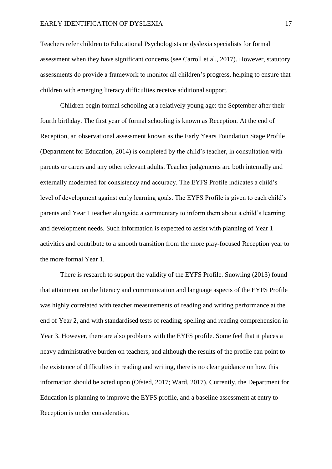Teachers refer children to Educational Psychologists or dyslexia specialists for formal assessment when they have significant concerns (see Carroll et al., 2017). However, statutory assessments do provide a framework to monitor all children's progress, helping to ensure that children with emerging literacy difficulties receive additional support.

Children begin formal schooling at a relatively young age: the September after their fourth birthday. The first year of formal schooling is known as Reception. At the end of Reception, an observational assessment known as the Early Years Foundation Stage Profile (Department for Education, 2014) is completed by the child's teacher, in consultation with parents or carers and any other relevant adults. Teacher judgements are both internally and externally moderated for consistency and accuracy. The EYFS Profile indicates a child's level of development against early learning goals. The EYFS Profile is given to each child's parents and Year 1 teacher alongside a commentary to inform them about a child's learning and development needs. Such information is expected to assist with planning of Year 1 activities and contribute to a smooth transition from the more play-focused Reception year to the more formal Year 1.

There is research to support the validity of the EYFS Profile. Snowling (2013) found that attainment on the literacy and communication and language aspects of the EYFS Profile was highly correlated with teacher measurements of reading and writing performance at the end of Year 2, and with standardised tests of reading, spelling and reading comprehension in Year 3. However, there are also problems with the EYFS profile. Some feel that it places a heavy administrative burden on teachers, and although the results of the profile can point to the existence of difficulties in reading and writing, there is no clear guidance on how this information should be acted upon (Ofsted, 2017; Ward, 2017). Currently, the Department for Education is planning to improve the EYFS profile, and a baseline assessment at entry to Reception is under consideration.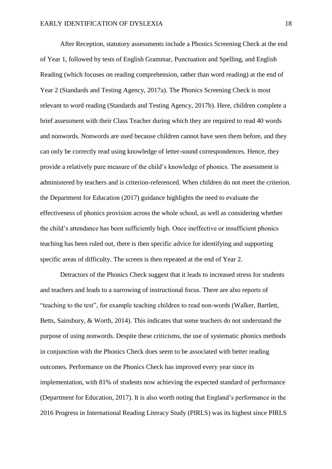After Reception, statutory assessments include a Phonics Screening Check at the end of Year 1, followed by tests of English Grammar, Punctuation and Spelling, and English Reading (which focuses on reading comprehension, rather than word reading) at the end of Year 2 (Standards and Testing Agency, 2017a). The Phonics Screening Check is most relevant to word reading (Standards and Testing Agency, 2017b). Here, children complete a brief assessment with their Class Teacher during which they are required to read 40 words and nonwords. Nonwords are used because children cannot have seen them before, and they can only be correctly read using knowledge of letter-sound correspondences. Hence, they provide a relatively pure measure of the child's knowledge of phonics. The assessment is administered by teachers and is criterion-referenced. When children do not meet the criterion, the Department for Education (2017) guidance highlights the need to evaluate the effectiveness of phonics provision across the whole school, as well as considering whether the child's attendance has been sufficiently high. Once ineffective or insufficient phonics teaching has been ruled out, there is then specific advice for identifying and supporting specific areas of difficulty. The screen is then repeated at the end of Year 2.

Detractors of the Phonics Check suggest that it leads to increased stress for students and teachers and leads to a narrowing of instructional focus. There are also reports of "teaching to the test", for example teaching children to read non-words (Walker, Bartlett, Betts, Sainsbury, & Worth, 2014). This indicates that some teachers do not understand the purpose of using nonwords. Despite these criticisms, the use of systematic phonics methods in conjunction with the Phonics Check does seem to be associated with better reading outcomes. Performance on the Phonics Check has improved every year since its implementation, with 81% of students now achieving the expected standard of performance (Department for Education, 2017). It is also worth noting that England's performance in the 2016 Progress in International Reading Literacy Study (PIRLS) was its highest since PIRLS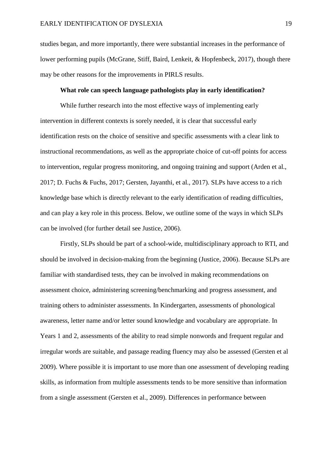studies began, and more importantly, there were substantial increases in the performance of lower performing pupils (McGrane, Stiff, Baird, Lenkeit, & Hopfenbeck, 2017), though there may be other reasons for the improvements in PIRLS results.

# **What role can speech language pathologists play in early identification?**

While further research into the most effective ways of implementing early intervention in different contexts is sorely needed, it is clear that successful early identification rests on the choice of sensitive and specific assessments with a clear link to instructional recommendations, as well as the appropriate choice of cut-off points for access to intervention, regular progress monitoring, and ongoing training and support (Arden et al., 2017; D. Fuchs & Fuchs, 2017; Gersten, Jayanthi, et al., 2017). SLPs have access to a rich knowledge base which is directly relevant to the early identification of reading difficulties, and can play a key role in this process. Below, we outline some of the ways in which SLPs can be involved (for further detail see Justice, 2006).

Firstly, SLPs should be part of a school-wide, multidisciplinary approach to RTI, and should be involved in decision-making from the beginning (Justice, 2006). Because SLPs are familiar with standardised tests, they can be involved in making recommendations on assessment choice, administering screening/benchmarking and progress assessment, and training others to administer assessments. In Kindergarten, assessments of phonological awareness, letter name and/or letter sound knowledge and vocabulary are appropriate. In Years 1 and 2, assessments of the ability to read simple nonwords and frequent regular and irregular words are suitable, and passage reading fluency may also be assessed (Gersten et al 2009). Where possible it is important to use more than one assessment of developing reading skills, as information from multiple assessments tends to be more sensitive than information from a single assessment (Gersten et al., 2009). Differences in performance between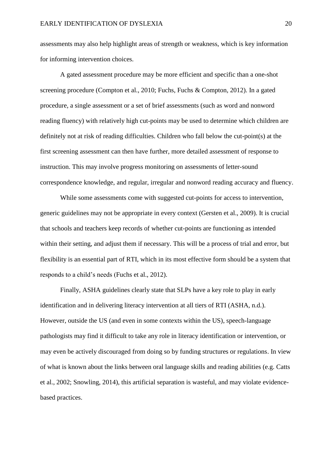assessments may also help highlight areas of strength or weakness, which is key information for informing intervention choices.

A gated assessment procedure may be more efficient and specific than a one-shot screening procedure (Compton et al., 2010; Fuchs, Fuchs & Compton, 2012). In a gated procedure, a single assessment or a set of brief assessments (such as word and nonword reading fluency) with relatively high cut-points may be used to determine which children are definitely not at risk of reading difficulties. Children who fall below the cut-point(s) at the first screening assessment can then have further, more detailed assessment of response to instruction. This may involve progress monitoring on assessments of letter-sound correspondence knowledge, and regular, irregular and nonword reading accuracy and fluency.

While some assessments come with suggested cut-points for access to intervention, generic guidelines may not be appropriate in every context (Gersten et al., 2009). It is crucial that schools and teachers keep records of whether cut-points are functioning as intended within their setting, and adjust them if necessary. This will be a process of trial and error, but flexibility is an essential part of RTI, which in its most effective form should be a system that responds to a child's needs (Fuchs et al., 2012).

Finally, ASHA guidelines clearly state that SLPs have a key role to play in early identification and in delivering literacy intervention at all tiers of RTI (ASHA, n.d.). However, outside the US (and even in some contexts within the US), speech-language pathologists may find it difficult to take any role in literacy identification or intervention, or may even be actively discouraged from doing so by funding structures or regulations. In view of what is known about the links between oral language skills and reading abilities (e.g. Catts et al., 2002; Snowling, 2014), this artificial separation is wasteful, and may violate evidencebased practices.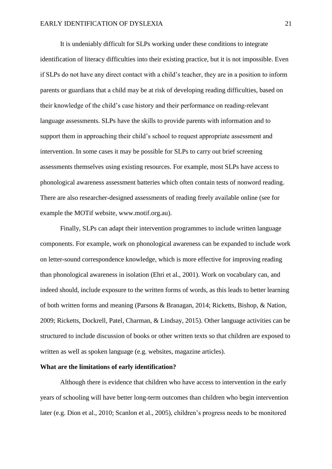It is undeniably difficult for SLPs working under these conditions to integrate identification of literacy difficulties into their existing practice, but it is not impossible. Even if SLPs do not have any direct contact with a child's teacher, they are in a position to inform parents or guardians that a child may be at risk of developing reading difficulties, based on their knowledge of the child's case history and their performance on reading-relevant language assessments. SLPs have the skills to provide parents with information and to support them in approaching their child's school to request appropriate assessment and intervention. In some cases it may be possible for SLPs to carry out brief screening assessments themselves using existing resources. For example, most SLPs have access to phonological awareness assessment batteries which often contain tests of nonword reading. There are also researcher-designed assessments of reading freely available online (see for example the MOTif website, [www.motif.org.au\)](http://www.motif.org.au/).

Finally, SLPs can adapt their intervention programmes to include written language components. For example, work on phonological awareness can be expanded to include work on letter-sound correspondence knowledge, which is more effective for improving reading than phonological awareness in isolation (Ehri et al., 2001). Work on vocabulary can, and indeed should, include exposure to the written forms of words, as this leads to better learning of both written forms and meaning (Parsons & Branagan, 2014; Ricketts, Bishop, & Nation, 2009; Ricketts, Dockrell, Patel, Charman, & Lindsay, 2015). Other language activities can be structured to include discussion of books or other written texts so that children are exposed to written as well as spoken language (e.g. websites, magazine articles).

# **What are the limitations of early identification?**

Although there is evidence that children who have access to intervention in the early years of schooling will have better long-term outcomes than children who begin intervention later (e.g. Dion et al., 2010; Scanlon et al., 2005), children's progress needs to be monitored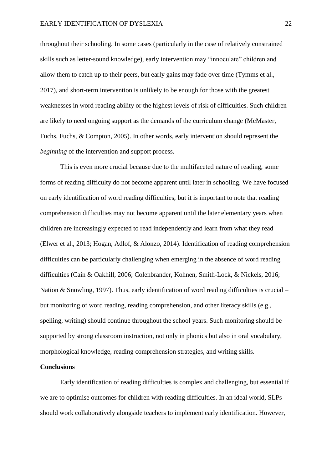throughout their schooling. In some cases (particularly in the case of relatively constrained skills such as letter-sound knowledge), early intervention may "innoculate" children and allow them to catch up to their peers, but early gains may fade over time (Tymms et al., 2017), and short-term intervention is unlikely to be enough for those with the greatest weaknesses in word reading ability or the highest levels of risk of difficulties. Such children are likely to need ongoing support as the demands of the curriculum change (McMaster, Fuchs, Fuchs, & Compton, 2005). In other words, early intervention should represent the *beginning* of the intervention and support process.

This is even more crucial because due to the multifaceted nature of reading, some forms of reading difficulty do not become apparent until later in schooling. We have focused on early identification of word reading difficulties, but it is important to note that reading comprehension difficulties may not become apparent until the later elementary years when children are increasingly expected to read independently and learn from what they read (Elwer et al., 2013; Hogan, Adlof, & Alonzo, 2014). Identification of reading comprehension difficulties can be particularly challenging when emerging in the absence of word reading difficulties (Cain & Oakhill, 2006; Colenbrander, Kohnen, Smith-Lock, & Nickels, 2016; Nation & Snowling, 1997). Thus, early identification of word reading difficulties is crucial – but monitoring of word reading, reading comprehension, and other literacy skills (e.g., spelling, writing) should continue throughout the school years. Such monitoring should be supported by strong classroom instruction, not only in phonics but also in oral vocabulary, morphological knowledge, reading comprehension strategies, and writing skills.

#### **Conclusions**

Early identification of reading difficulties is complex and challenging, but essential if we are to optimise outcomes for children with reading difficulties. In an ideal world, SLPs should work collaboratively alongside teachers to implement early identification. However,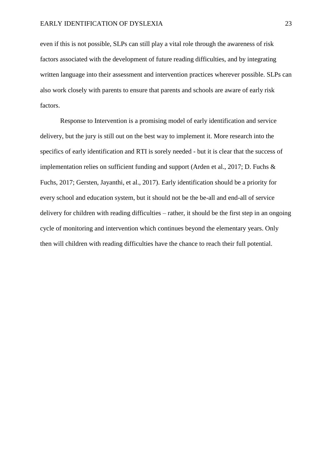even if this is not possible, SLPs can still play a vital role through the awareness of risk factors associated with the development of future reading difficulties, and by integrating written language into their assessment and intervention practices wherever possible. SLPs can also work closely with parents to ensure that parents and schools are aware of early risk factors.

Response to Intervention is a promising model of early identification and service delivery, but the jury is still out on the best way to implement it. More research into the specifics of early identification and RTI is sorely needed - but it is clear that the success of implementation relies on sufficient funding and support (Arden et al., 2017; D. Fuchs & Fuchs, 2017; Gersten, Jayanthi, et al., 2017). Early identification should be a priority for every school and education system, but it should not be the be-all and end-all of service delivery for children with reading difficulties – rather, it should be the first step in an ongoing cycle of monitoring and intervention which continues beyond the elementary years. Only then will children with reading difficulties have the chance to reach their full potential.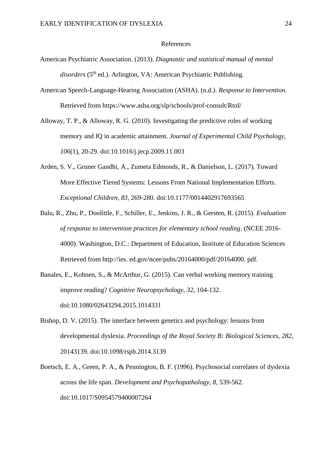#### References

- American Psychiatric Association. (2013). *Diagnostic and statistical manual of mental*  disorders (5<sup>th</sup> ed.). Arlington, VA: American Psychiatric Publishing.
- American Speech-Language-Hearing Association (ASHA). (n.d.). *Response to Intervention.*  Retrieved from https://www.asha.org/slp/schools/prof-consult/RtoI/
- Alloway, T. P., & Alloway, R. G. (2010). Investigating the predictive roles of working memory and IQ in academic attainment. *Journal of Experimental Child Psychology, 106*(1), 20-29. doi:10.1016/j.jecp.2009.11.003
- Arden, S. V., Gruner Gandhi, A., Zumeta Edmonds, R., & Danielson, L. (2017). Toward More Effective Tiered Systems: Lessons From National Implementation Efforts. *Exceptional Children, 83*, 269-280. doi:10.1177/0014402917693565
- Balu, R., Zhu, P., Doolittle, F., Schiller, E., Jenkins, J. R., & Gersten, R. (2015). *Evaluation of response to intervention practices for elementary school reading*. (NCEE 2016- 4000). Washington, D.C.: Department of Education, Institute of Education Sciences Retrieved from http://ies. ed.gov/ncee/pubs/20164000/pdf/20164000. pdf.
- Banales, E., Kohnen, S., & McArthur, G. (2015). Can verbal working memory training improve reading? *Cognitive Neuropsychology, 32*, 104-132. doi:10.1080/02643294.2015.1014331
- Bishop, D. V. (2015). The interface between genetics and psychology: lessons from developmental dyslexia. *Proceedings of the Royal Society B: Biological Sciences, 282*, 20143139. doi:10.1098/rspb.2014.3139
- Boetsch, E. A., Green, P. A., & Pennington, B. F. (1996). Psychosocial correlates of dyslexia across the life span. *Development and Psychopathology, 8*, 539-562. doi:10.1017/S0954579400007264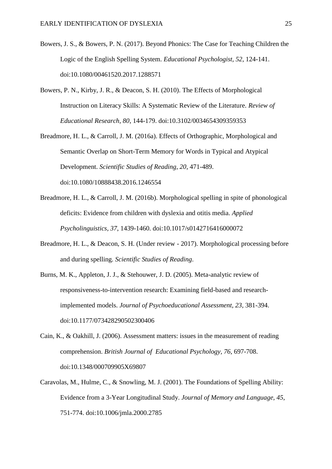- Bowers, J. S., & Bowers, P. N. (2017). Beyond Phonics: The Case for Teaching Children the Logic of the English Spelling System. *Educational Psychologist, 52*, 124-141. doi:10.1080/00461520.2017.1288571
- Bowers, P. N., Kirby, J. R., & Deacon, S. H. (2010). The Effects of Morphological Instruction on Literacy Skills: A Systematic Review of the Literature. *Review of Educational Research, 80*, 144-179. doi:10.3102/0034654309359353
- Breadmore, H. L., & Carroll, J. M. (2016a). Effects of Orthographic, Morphological and Semantic Overlap on Short-Term Memory for Words in Typical and Atypical Development. *Scientific Studies of Reading, 20*, 471-489. doi:10.1080/10888438.2016.1246554
- Breadmore, H. L., & Carroll, J. M. (2016b). Morphological spelling in spite of phonological deficits: Evidence from children with dyslexia and otitis media. *Applied Psycholinguistics, 37*, 1439-1460. doi:10.1017/s0142716416000072
- Breadmore, H. L., & Deacon, S. H. (Under review 2017). Morphological processing before and during spelling. *Scientific Studies of Reading*.
- Burns, M. K., Appleton, J. J., & Stehouwer, J. D. (2005). Meta-analytic review of responsiveness-to-intervention research: Examining field-based and researchimplemented models. *Journal of Psychoeducational Assessment, 23*, 381-394. doi:10.1177/073428290502300406
- Cain, K., & Oakhill, J. (2006). Assessment matters: issues in the measurement of reading comprehension. *British Journal of Educational Psychology, 76*, 697-708. doi:10.1348/000709905X69807
- Caravolas, M., Hulme, C., & Snowling, M. J. (2001). The Foundations of Spelling Ability: Evidence from a 3-Year Longitudinal Study. *Journal of Memory and Language, 45*, 751-774. doi:10.1006/jmla.2000.2785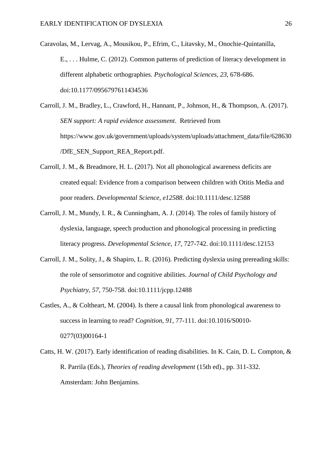Caravolas, M., Lervag, A., Mousikou, P., Efrim, C., Litavsky, M., Onochie-Quintanilla, E., . . . Hulme, C. (2012). Common patterns of prediction of literacy development in different alphabetic orthographies. *Psychological Sciences, 23*, 678-686. doi:10.1177/0956797611434536

Carroll, J. M., Bradley, L., Crawford, H., Hannant, P., Johnson, H., & Thompson, A. (2017). *SEN support: A rapid evidence assessment*. Retrieved from https://www.gov.uk/government/uploads/system/uploads/attachment\_data/file/628630 /DfE\_SEN\_Support\_REA\_Report.pdf.

- Carroll, J. M., & Breadmore, H. L. (2017). Not all phonological awareness deficits are created equal: Evidence from a comparison between children with Otitis Media and poor readers. *Developmental Science, e12588*. doi:10.1111/desc.12588
- Carroll, J. M., Mundy, I. R., & Cunningham, A. J. (2014). The roles of family history of dyslexia, language, speech production and phonological processing in predicting literacy progress. *Developmental Science, 17*, 727-742. doi:10.1111/desc.12153
- Carroll, J. M., Solity, J., & Shapiro, L. R. (2016). Predicting dyslexia using prereading skills: the role of sensorimotor and cognitive abilities. *Journal of Child Psychology and Psychiatry, 57*, 750-758. doi:10.1111/jcpp.12488
- Castles, A., & Coltheart, M. (2004). Is there a causal link from phonological awareness to success in learning to read? *Cognition, 91*, 77-111. doi:10.1016/S0010- 0277(03)00164-1
- Catts, H. W. (2017). Early identification of reading disabilities. In K. Cain, D. L. Compton, & R. Parrila (Eds.), *Theories of reading development* (15th ed)., pp. 311-332. Amsterdam: John Benjamins.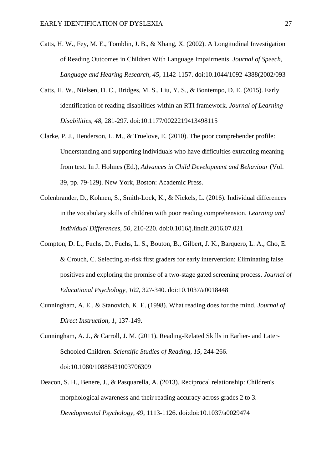- Catts, H. W., Fey, M. E., Tomblin, J. B., & Xhang, X. (2002). A Longitudinal Investigation of Reading Outcomes in Children With Language Impairments. *Journal of Speech, Language and Hearing Research, 45*, 1142-1157. doi:10.1044/1092-4388(2002/093
- Catts, H. W., Nielsen, D. C., Bridges, M. S., Liu, Y. S., & Bontempo, D. E. (2015). Early identification of reading disabilities within an RTI framework. *Journal of Learning Disabilities, 48*, 281-297. doi:10.1177/0022219413498115
- Clarke, P. J., Henderson, L. M., & Truelove, E. (2010). The poor comprehender profile: Understanding and supporting individuals who have difficulties extracting meaning from text. In J. Holmes (Ed.), *Advances in Child Development and Behaviour* (Vol. 39, pp. 79-129). New York, Boston: Academic Press.
- Colenbrander, D., Kohnen, S., Smith-Lock, K., & Nickels, L. (2016). Individual differences in the vocabulary skills of children with poor reading comprehension. *Learning and Individual Differences, 50*, 210-220. doi:0.1016/j.lindif.2016.07.021
- Compton, D. L., Fuchs, D., Fuchs, L. S., Bouton, B., Gilbert, J. K., Barquero, L. A., Cho, E. & Crouch, C. Selecting at-risk first graders for early intervention: Eliminating false positives and exploring the promise of a two-stage gated screening process. *Journal of Educational Psychology, 102*, 327-340. doi:10.1037/a0018448
- Cunningham, A. E., & Stanovich, K. E. (1998). What reading does for the mind. *Journal of Direct Instruction, 1*, 137-149.
- Cunningham, A. J., & Carroll, J. M. (2011). Reading-Related Skills in Earlier- and Later-Schooled Children. *Scientific Studies of Reading, 15*, 244-266. doi:10.1080/10888431003706309
- Deacon, S. H., Benere, J., & Pasquarella, A. (2013). Reciprocal relationship: Children's morphological awareness and their reading accuracy across grades 2 to 3. *Developmental Psychology, 49*, 1113-1126. doi:doi:10.1037/a0029474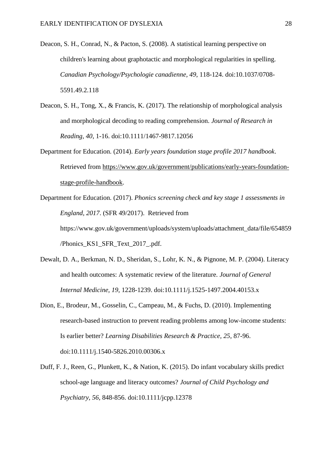- Deacon, S. H., Conrad, N., & Pacton, S. (2008). A statistical learning perspective on children's learning about graphotactic and morphological regularities in spelling. *Canadian Psychology/Psychologie canadienne, 49*, 118-124. doi:10.1037/0708- 5591.49.2.118
- Deacon, S. H., Tong, X., & Francis, K. (2017). The relationship of morphological analysis and morphological decoding to reading comprehension. *Journal of Research in Reading, 40*, 1-16. doi:10.1111/1467-9817.12056
- Department for Education. (2014). *Early years foundation stage profile 2017 handbook*. Retrieved from https://www.gov.uk/government/publications/early-years-foundationstage-profile-handbook.
- Department for Education. (2017). *Phonics screening check and key stage 1 assessments in England, 2017*. (SFR 49/2017). Retrieved from https://www.gov.uk/government/uploads/system/uploads/attachment\_data/file/654859 /Phonics\_KS1\_SFR\_Text\_2017\_.pdf.
- Dewalt, D. A., Berkman, N. D., Sheridan, S., Lohr, K. N., & Pignone, M. P. (2004). Literacy and health outcomes: A systematic review of the literature. *Journal of General Internal Medicine, 19*, 1228-1239. doi:10.1111/j.1525-1497.2004.40153.x
- Dion, E., Brodeur, M., Gosselin, C., Campeau, M., & Fuchs, D. (2010). Implementing research-based instruction to prevent reading problems among low-income students: Is earlier better? *Learning Disabilities Research & Practice, 25*, 87-96. doi:10.1111/j.1540-5826.2010.00306.x
- Duff, F. J., Reen, G., Plunkett, K., & Nation, K. (2015). Do infant vocabulary skills predict school-age language and literacy outcomes? *Journal of Child Psychology and Psychiatry, 56*, 848-856. doi:10.1111/jcpp.12378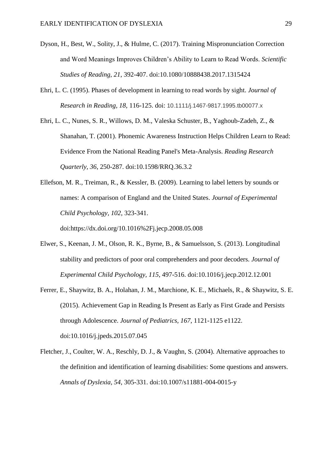- Dyson, H., Best, W., Solity, J., & Hulme, C. (2017). Training Mispronunciation Correction and Word Meanings Improves Children's Ability to Learn to Read Words. *Scientific Studies of Reading, 21*, 392-407. doi:10.1080/10888438.2017.1315424
- Ehri, L. C. (1995). Phases of development in learning to read words by sight. *Journal of Research in Reading, 18*, 116-125. doi: 10.1111/j.1467-9817.1995.tb00077.x
- Ehri, L. C., Nunes, S. R., Willows, D. M., Valeska Schuster, B., Yaghoub-Zadeh, Z., & Shanahan, T. (2001). Phonemic Awareness Instruction Helps Children Learn to Read: Evidence From the National Reading Panel's Meta-Analysis. *Reading Research Quarterly, 36*, 250-287. doi:10.1598/RRQ.36.3.2
- Ellefson, M. R., Treiman, R., & Kessler, B. (2009). Learning to label letters by sounds or names: A comparison of England and the United States. *Journal of Experimental Child Psychology, 102*, 323-341.

doi:https://dx.doi.org/10.1016%2Fj.jecp.2008.05.008

- Elwer, S., Keenan, J. M., Olson, R. K., Byrne, B., & Samuelsson, S. (2013). Longitudinal stability and predictors of poor oral comprehenders and poor decoders. *Journal of Experimental Child Psychology, 115*, 497-516. doi:10.1016/j.jecp.2012.12.001
- Ferrer, E., Shaywitz, B. A., Holahan, J. M., Marchione, K. E., Michaels, R., & Shaywitz, S. E. (2015). Achievement Gap in Reading Is Present as Early as First Grade and Persists through Adolescence. *Journal of Pediatrics, 167*, 1121-1125 e1122. doi:10.1016/j.jpeds.2015.07.045
- Fletcher, J., Coulter, W. A., Reschly, D. J., & Vaughn, S. (2004). Alternative approaches to the definition and identification of learning disabilities: Some questions and answers. *Annals of Dyslexia, 54*, 305-331. doi:10.1007/s11881-004-0015-y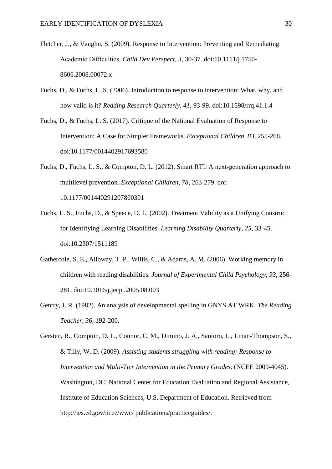- Fletcher, J., & Vaughn, S. (2009). Response to Intervention: Preventing and Remediating Academic Difficulties. *Child Dev Perspect, 3*, 30-37. doi:10.1111/j.1750- 8606.2008.00072.x
- Fuchs, D., & Fuchs, L. S. (2006). Introduction to response to intervention: What, why, and how valid is it? *Reading Research Quarterly, 41*, 93-99. doi:10.1598/rrq.41.1.4
- Fuchs, D., & Fuchs, L. S. (2017). Critique of the National Evaluation of Response to Intervention: A Case for Simpler Frameworks. *Exceptional Children, 83*, 255-268. doi:10.1177/0014402917693580
- Fuchs, D., Fuchs, L. S., & Compton, D. L. (2012). Smart RTI: A next-generation approach to multilevel prevention. *Exceptional Children, 78*, 263-279. doi: 10.1177/001440291207800301
- Fuchs, L. S., Fuchs, D., & Speece, D. L. (2002). Treatment Validity as a Unifying Construct for Identifying Learning Disabilities. *Learning Disability Quarterly, 25*, 33-45. doi:10.2307/1511189
- Gathercole, S. E., Alloway, T. P., Willis, C., & Adams, A. M. (2006). Working memory in children with reading disabilities. *Journal of Experimental Child Psychology, 93*, 256- 281. doi:10.1016/j.jecp .2005.08.003
- Gentry, J. R. (1982). An analysis of developmental spelling in GNYS AT WRK. *The Reading Teacher, 36*, 192-200.

Gersten, R., Compton, D. L., Connor, C. M., Dimino, J. A., Santoro, L., Linan-Thompson, S., & Tilly, W. D. (2009). *Assisting students struggling with reading: Response to Intervention and Multi-Tier Intervention in the Primary Grades*. (NCEE 2009-4045). Washington, DC: National Center for Education Evaluation and Regional Assistance, Institute of Education Sciences, U.S. Department of Education. Retrieved from http://ies.ed.gov/ncee/wwc/ publications/practiceguides/.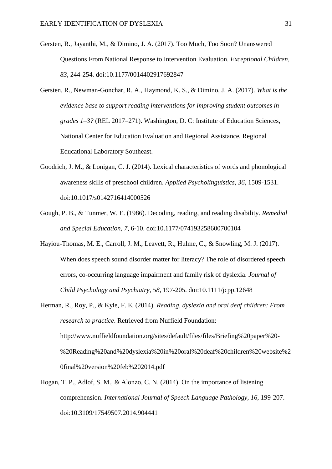- Gersten, R., Jayanthi, M., & Dimino, J. A. (2017). Too Much, Too Soon? Unanswered Questions From National Response to Intervention Evaluation. *Exceptional Children, 83*, 244-254. doi:10.1177/0014402917692847
- Gersten, R., Newman-Gonchar, R. A., Haymond, K. S., & Dimino, J. A. (2017). *What is the evidence base to support reading interventions for improving student outcomes in grades 1–3?* (REL 2017–271). Washington, D. C: Institute of Education Sciences, National Center for Education Evaluation and Regional Assistance, Regional Educational Laboratory Southeast.
- Goodrich, J. M., & Lonigan, C. J. (2014). Lexical characteristics of words and phonological awareness skills of preschool children. *Applied Psycholinguistics, 36*, 1509-1531. doi:10.1017/s0142716414000526
- Gough, P. B., & Tunmer, W. E. (1986). Decoding, reading, and reading disability. *Remedial and Special Education, 7*, 6-10. doi:10.1177/074193258600700104
- Hayiou-Thomas, M. E., Carroll, J. M., Leavett, R., Hulme, C., & Snowling, M. J. (2017). When does speech sound disorder matter for literacy? The role of disordered speech errors, co-occurring language impairment and family risk of dyslexia. *Journal of Child Psychology and Psychiatry, 58*, 197-205. doi:10.1111/jcpp.12648
- Herman, R., Roy, P., & Kyle, F. E. (2014). *Reading, dyslexia and oral deaf children: From research to practice*. Retrieved from Nuffield Foundation: http://www.nuffieldfoundation.org/sites/default/files/files/Briefing%20paper%20- %20Reading%20and%20dyslexia%20in%20oral%20deaf%20children%20website%2 0final%20version%20feb%202014.pdf
- Hogan, T. P., Adlof, S. M., & Alonzo, C. N. (2014). On the importance of listening comprehension. *International Journal of Speech Language Pathology, 16*, 199-207. doi:10.3109/17549507.2014.904441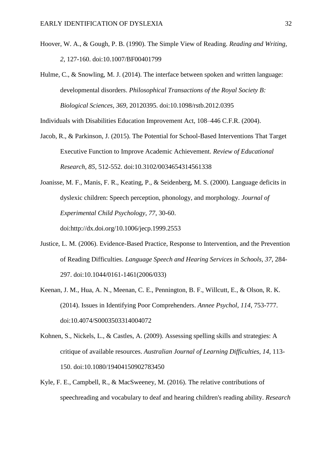- Hoover, W. A., & Gough, P. B. (1990). The Simple View of Reading. *Reading and Writing, 2*, 127-160. doi:10.1007/BF00401799
- Hulme, C., & Snowling, M. J. (2014). The interface between spoken and written language: developmental disorders. *Philosophical Transactions of the Royal Society B: Biological Sciences, 369*, 20120395. doi:10.1098/rstb.2012.0395

Individuals with Disabilities Education Improvement Act, 108–446 C.F.R. (2004).

Jacob, R., & Parkinson, J. (2015). The Potential for School-Based Interventions That Target Executive Function to Improve Academic Achievement. *Review of Educational Research, 85*, 512-552. doi:10.3102/0034654314561338

Joanisse, M. F., Manis, F. R., Keating, P., & Seidenberg, M. S. (2000). Language deficits in dyslexic children: Speech perception, phonology, and morphology. *Journal of Experimental Child Psychology, 77*, 30-60.

doi:http://dx.doi.org/10.1006/jecp.1999.2553

- Justice, L. M. (2006). Evidence-Based Practice, Response to Intervention, and the Prevention of Reading Difficulties. *Language Speech and Hearing Services in Schools, 37*, 284- 297. doi:10.1044/0161-1461(2006/033)
- Keenan, J. M., Hua, A. N., Meenan, C. E., Pennington, B. F., Willcutt, E., & Olson, R. K. (2014). Issues in Identifying Poor Comprehenders. *Annee Psychol, 114*, 753-777. doi:10.4074/S0003503314004072
- Kohnen, S., Nickels, L., & Castles, A. (2009). Assessing spelling skills and strategies: A critique of available resources. *Australian Journal of Learning Difficulties, 14*, 113- 150. doi:10.1080/19404150902783450
- Kyle, F. E., Campbell, R., & MacSweeney, M. (2016). The relative contributions of speechreading and vocabulary to deaf and hearing children's reading ability. *Research*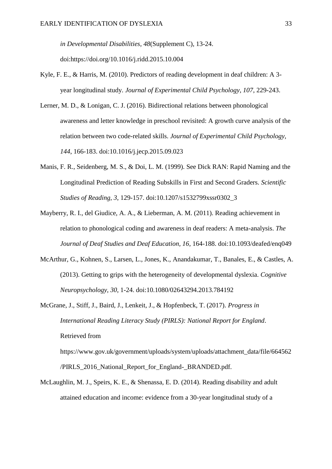*in Developmental Disabilities, 48*(Supplement C), 13-24. doi:https://doi.org/10.1016/j.ridd.2015.10.004

- Kyle, F. E., & Harris, M. (2010). Predictors of reading development in deaf children: A 3 year longitudinal study. *Journal of Experimental Child Psychology, 107*, 229-243.
- Lerner, M. D., & Lonigan, C. J. (2016). Bidirectional relations between phonological awareness and letter knowledge in preschool revisited: A growth curve analysis of the relation between two code-related skills. *Journal of Experimental Child Psychology, 144*, 166-183. doi:10.1016/j.jecp.2015.09.023
- Manis, F. R., Seidenberg, M. S., & Doi, L. M. (1999). See Dick RAN: Rapid Naming and the Longitudinal Prediction of Reading Subskills in First and Second Graders. *Scientific Studies of Reading, 3*, 129-157. doi:10.1207/s1532799xssr0302\_3
- Mayberry, R. I., del Giudice, A. A., & Lieberman, A. M. (2011). Reading achievement in relation to phonological coding and awareness in deaf readers: A meta-analysis. *The Journal of Deaf Studies and Deaf Education, 16*, 164-188. doi:10.1093/deafed/enq049
- McArthur, G., Kohnen, S., Larsen, L., Jones, K., Anandakumar, T., Banales, E., & Castles, A. (2013). Getting to grips with the heterogeneity of developmental dyslexia. *Cognitive Neuropsychology, 30*, 1-24. doi:10.1080/02643294.2013.784192
- McGrane, J., Stiff, J., Baird, J., Lenkeit, J., & Hopfenbeck, T. (2017). *Progress in International Reading Literacy Study (PIRLS): National Report for England*. Retrieved from

https://www.gov.uk/government/uploads/system/uploads/attachment\_data/file/664562 /PIRLS 2016 National Report for England- BRANDED.pdf.

McLaughlin, M. J., Speirs, K. E., & Shenassa, E. D. (2014). Reading disability and adult attained education and income: evidence from a 30-year longitudinal study of a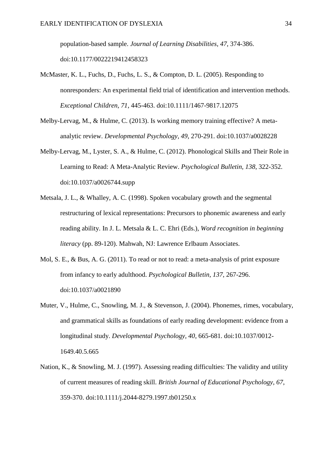population-based sample. *Journal of Learning Disabilities, 47*, 374-386. doi:10.1177/0022219412458323

- McMaster, K. L., Fuchs, D., Fuchs, L. S., & Compton, D. L. (2005). Responding to nonresponders: An experimental field trial of identification and intervention methods. *Exceptional Children, 71*, 445-463. doi:10.1111/1467-9817.12075
- Melby-Lervag, M., & Hulme, C. (2013). Is working memory training effective? A metaanalytic review. *Developmental Psychology, 49*, 270-291. doi:10.1037/a0028228
- Melby-Lervag, M., Lyster, S. A., & Hulme, C. (2012). Phonological Skills and Their Role in Learning to Read: A Meta-Analytic Review. *Psychological Bulletin, 138*, 322-352. doi:10.1037/a0026744.supp
- Metsala, J. L., & Whalley, A. C. (1998). Spoken vocabulary growth and the segmental restructuring of lexical representations: Precursors to phonemic awareness and early reading ability. In J. L. Metsala & L. C. Ehri (Eds.), *Word recognition in beginning literacy* (pp. 89-120). Mahwah, NJ: Lawrence Erlbaum Associates.
- Mol, S. E., & Bus, A. G. (2011). To read or not to read: a meta-analysis of print exposure from infancy to early adulthood. *Psychological Bulletin, 137*, 267-296. doi:10.1037/a0021890
- Muter, V., Hulme, C., Snowling, M. J., & Stevenson, J. (2004). Phonemes, rimes, vocabulary, and grammatical skills as foundations of early reading development: evidence from a longitudinal study. *Developmental Psychology, 40*, 665-681. doi:10.1037/0012- 1649.40.5.665
- Nation, K., & Snowling, M. J. (1997). Assessing reading difficulties: The validity and utility of current measures of reading skill. *British Journal of Educational Psychology, 67*, 359-370. doi:10.1111/j.2044-8279.1997.tb01250.x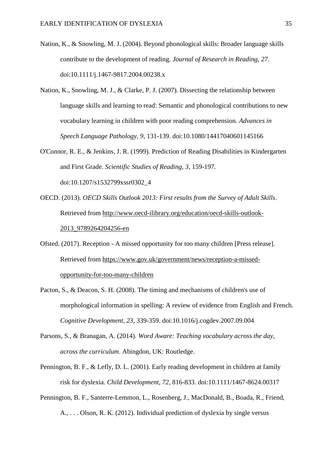- Nation, K., & Snowling, M. J. (2004). Beyond phonological skills: Broader language skills contribute to the development of reading. *Journal of Research in Reading, 27*. doi:10.1111/j.1467-9817.2004.00238.x
- Nation, K., Snowling, M. J., & Clarke, P. J. (2007). Dissecting the relationship between language skills and learning to read: Semantic and phonological contributions to new vocabulary learning in children with poor reading comprehension. *Advances in Speech Language Pathology, 9*, 131-139. doi:10.1080/14417040601145166
- O'Connor, R. E., & Jenkins, J. R. (1999). Prediction of Reading Disabilities in Kindergarten and First Grade. *Scientific Studies of Reading, 3*, 159-197. doi:10.1207/s1532799xssr0302\_4
- OECD. (2013). *OECD Skills Outlook 2013: First results from the Survey of Adult Skills*. Retrieved from http://www.oecd-ilibrary.org/education/oecd-skills-outlook-2013\_9789264204256-en
- Ofsted. (2017). Reception A missed opportunity for too many children [Press release]. Retrieved from https://www.gov.uk/government/news/reception-a-missedopportunity-for-too-many-children
- Pacton, S., & Deacon, S. H. (2008). The timing and mechanisms of children's use of morphological information in spelling: A review of evidence from English and French. *Cognitive Development, 23*, 339-359. doi:10.1016/j.cogdev.2007.09.004
- Parsons, S., & Branagan, A. (2014). *Word Aware: Teaching vocabulary across the day, across the curriculum*. Abingdon, UK: Routledge.
- Pennington, B. F., & Lefly, D. L. (2001). Early reading development in children at family risk for dyslexia. *Child Development, 72*, 816-833. doi:10.1111/1467-8624.00317
- Pennington, B. F., Santerre-Lemmon, L., Rosenberg, J., MacDonald, B., Boada, R., Friend, A., . . . Olson, R. K. (2012). Individual prediction of dyslexia by single versus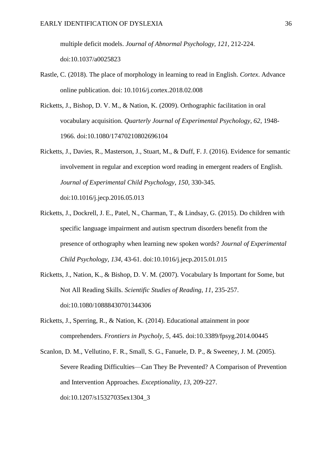multiple deficit models. *Journal of Abnormal Psychology, 121*, 212-224. doi:10.1037/a0025823

- Rastle, C. (2018). The place of morphology in learning to read in English. *Cortex*. Advance online publication. doi: 10.1016/j.cortex.2018.02.008
- Ricketts, J., Bishop, D. V. M., & Nation, K. (2009). Orthographic facilitation in oral vocabulary acquisition. *Quarterly Journal of Experimental Psychology, 62*, 1948- 1966. doi:10.1080/17470210802696104
- Ricketts, J., Davies, R., Masterson, J., Stuart, M., & Duff, F. J. (2016). Evidence for semantic involvement in regular and exception word reading in emergent readers of English. *Journal of Experimental Child Psychology, 150*, 330-345. doi:10.1016/j.jecp.2016.05.013
- Ricketts, J., Dockrell, J. E., Patel, N., Charman, T., & Lindsay, G. (2015). Do children with specific language impairment and autism spectrum disorders benefit from the presence of orthography when learning new spoken words? *Journal of Experimental Child Psychology, 134*, 43-61. doi:10.1016/j.jecp.2015.01.015
- Ricketts, J., Nation, K., & Bishop, D. V. M. (2007). Vocabulary Is Important for Some, but Not All Reading Skills. *Scientific Studies of Reading, 11*, 235-257. doi:10.1080/10888430701344306
- Ricketts, J., Sperring, R., & Nation, K. (2014). Educational attainment in poor comprehenders. *Frontiers in Psycholy, 5*, 445. doi:10.3389/fpsyg.2014.00445
- Scanlon, D. M., Vellutino, F. R., Small, S. G., Fanuele, D. P., & Sweeney, J. M. (2005). Severe Reading Difficulties—Can They Be Prevented? A Comparison of Prevention and Intervention Approaches. *Exceptionality, 13*, 209-227. doi:10.1207/s15327035ex1304\_3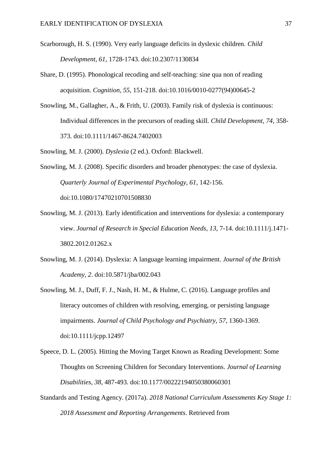- Scarborough, H. S. (1990). Very early language deficits in dyslexic children. *Child Development, 61*, 1728-1743. doi:10.2307/1130834
- Share, D. (1995). Phonological recoding and self-teaching: sine qua non of reading acquisition. *Cognition, 55*, 151-218. doi:10.1016/0010-0277(94)00645-2
- Snowling, M., Gallagher, A., & Frith, U. (2003). Family risk of dyslexia is continuous: Individual differences in the precursors of reading skill. *Child Development, 74*, 358- 373. doi:10.1111/1467-8624.7402003
- Snowling, M. J. (2000). *Dyslexia* (2 ed.). Oxford: Blackwell.
- Snowling, M. J. (2008). Specific disorders and broader phenotypes: the case of dyslexia. *Quarterly Journal of Experimental Psychology, 61*, 142-156. doi:10.1080/17470210701508830
- Snowling, M. J. (2013). Early identification and interventions for dyslexia: a contemporary view. *Journal of Research in Special Education Needs, 13*, 7-14. doi:10.1111/j.1471- 3802.2012.01262.x
- Snowling, M. J. (2014). Dyslexia: A language learning impairment. *Journal of the British Academy, 2*. doi:10.5871/jba/002.043
- Snowling, M. J., Duff, F. J., Nash, H. M., & Hulme, C. (2016). Language profiles and literacy outcomes of children with resolving, emerging, or persisting language impairments. *Journal of Child Psychology and Psychiatry, 57*, 1360-1369. doi:10.1111/jcpp.12497
- Speece, D. L. (2005). Hitting the Moving Target Known as Reading Development: Some Thoughts on Screening Children for Secondary Interventions. *Journal of Learning Disabilities, 38*, 487-493. doi:10.1177/00222194050380060301
- Standards and Testing Agency. (2017a). *2018 National Curriculum Assessments Key Stage 1: 2018 Assessment and Reporting Arrangements*. Retrieved from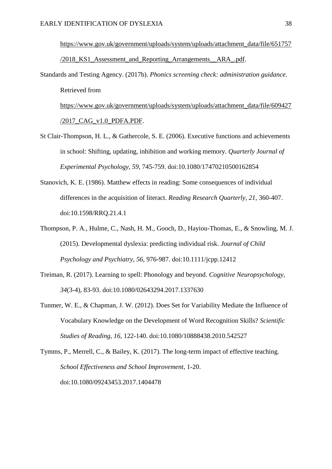https://www.gov.uk/government/uploads/system/uploads/attachment\_data/file/651757 /2018\_KS1\_Assessment\_and\_Reporting\_Arrangements\_\_ARA\_.pdf.

Standards and Testing Agency. (2017b). *Phonics screening check: administration guidance*. Retrieved from https://www.gov.uk/government/uploads/system/uploads/attachment\_data/file/609427

/2017\_CAG\_v1.0\_PDFA.PDF.

- St Clair-Thompson, H. L., & Gathercole, S. E. (2006). Executive functions and achievements in school: Shifting, updating, inhibition and working memory. *Quarterly Journal of Experimental Psychology, 59*, 745-759. doi:10.1080/17470210500162854
- Stanovich, K. E. (1986). Matthew effects in reading: Some consequences of individual differences in the acquisition of literact. *Reading Research Quarterly, 21*, 360-407. doi:10.1598/RRQ.21.4.1
- Thompson, P. A., Hulme, C., Nash, H. M., Gooch, D., Hayiou-Thomas, E., & Snowling, M. J. (2015). Developmental dyslexia: predicting individual risk. *Journal of Child Psychology and Psychiatry, 56*, 976-987. doi:10.1111/jcpp.12412
- Treiman, R. (2017). Learning to spell: Phonology and beyond. *Cognitive Neuropsychology, 34*(3-4), 83-93. doi:10.1080/02643294.2017.1337630
- Tunmer, W. E., & Chapman, J. W. (2012). Does Set for Variability Mediate the Influence of Vocabulary Knowledge on the Development of Word Recognition Skills? *Scientific Studies of Reading, 16*, 122-140. doi:10.1080/10888438.2010.542527

Tymms, P., Merrell, C., & Bailey, K. (2017). The long-term impact of effective teaching. *School Effectiveness and School Improvement*, 1-20. doi:10.1080/09243453.2017.1404478